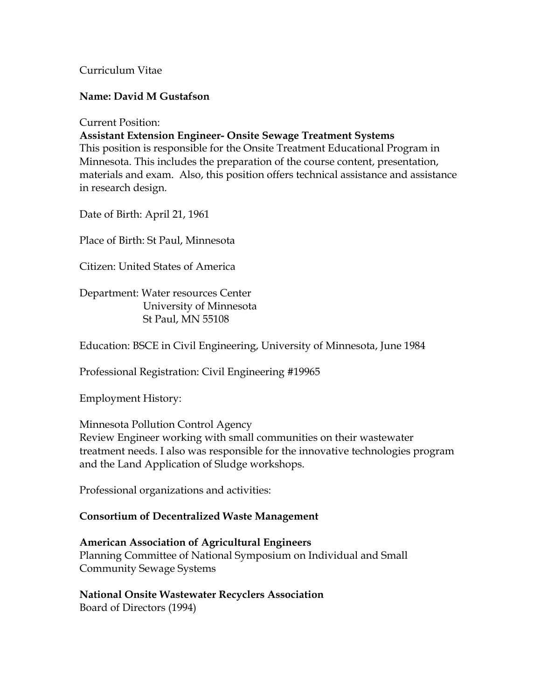Curriculum Vitae

## **Name: David M Gustafson**

Current Position:

**Assistant Extension Engineer- Onsite Sewage Treatment Systems** 

This position is responsible for the Onsite Treatment Educational Program in Minnesota. This includes the preparation of the course content, presentation, materials and exam. Also, this position offers technical assistance and assistance in research design.

Date of Birth: April 21, 1961

Place of Birth: St Paul, Minnesota

Citizen: United States of America

Department: Water resources Center University of Minnesota St Paul, MN 55108

Education: BSCE in Civil Engineering, University of Minnesota, June 1984

Professional Registration: Civil Engineering #19965

Employment History:

Minnesota Pollution Control Agency Review Engineer working with small communities on their wastewater treatment needs. I also was responsible for the innovative technologies program and the Land Application of Sludge workshops.

Professional organizations and activities:

## **Consortium of Decentralized Waste Management**

## **American Association of Agricultural Engineers**  Planning Committee of National Symposium on Individual and Small Community Sewage Systems

**National Onsite Wastewater Recyclers Association**  Board of Directors (1994)